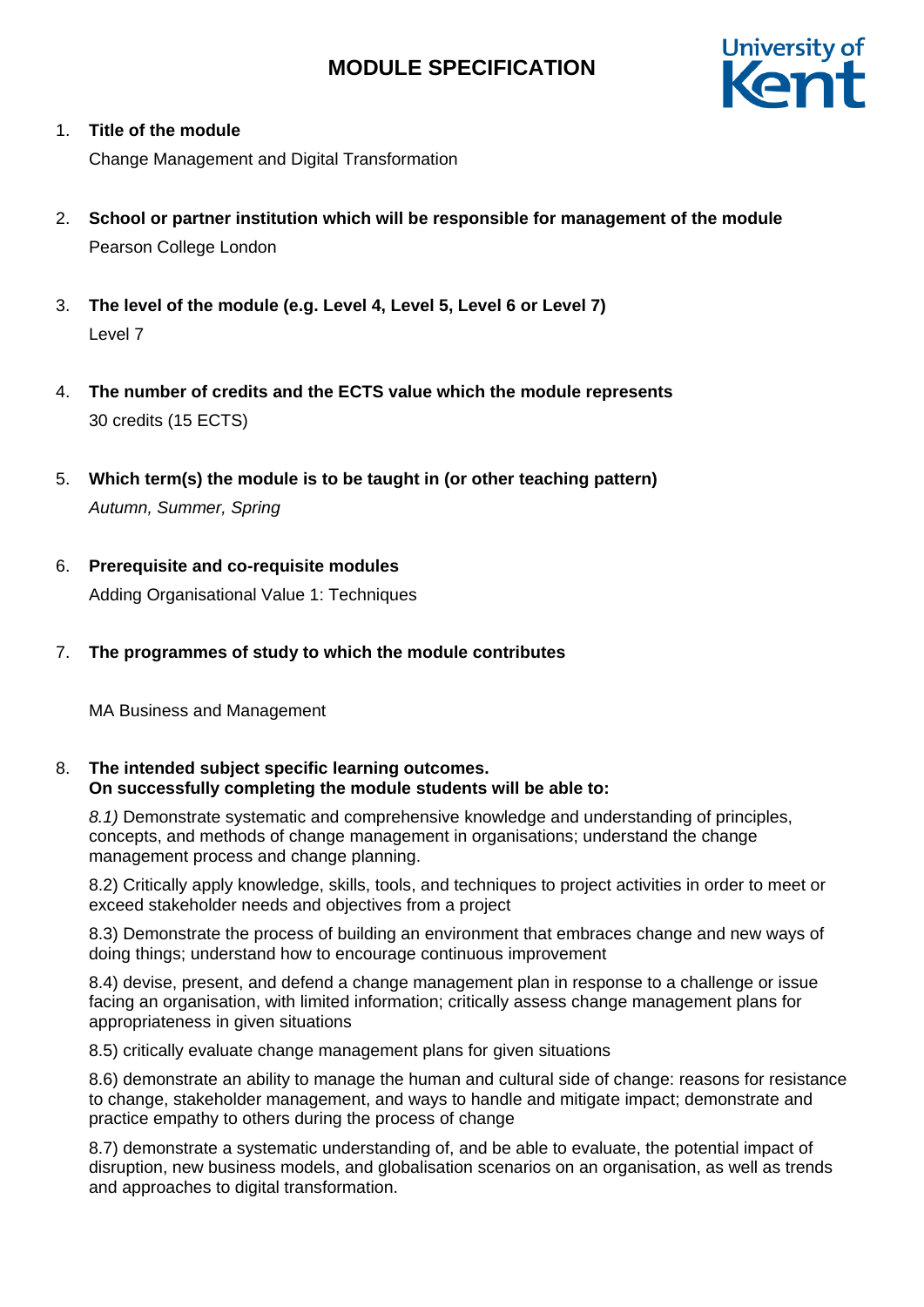

## 1. **Title of the module**

Change Management and Digital Transformation

- 2. **School or partner institution which will be responsible for management of the module** Pearson College London
- 3. **The level of the module (e.g. Level 4, Level 5, Level 6 or Level 7)** Level 7
- 4. **The number of credits and the ECTS value which the module represents**  30 credits (15 ECTS)
- 5. **Which term(s) the module is to be taught in (or other teaching pattern)** *Autumn, Summer, Spring*
- 6. **Prerequisite and co-requisite modules** Adding Organisational Value 1: Techniques
- 7. **The programmes of study to which the module contributes**

MA Business and Management

### 8. **The intended subject specific learning outcomes. On successfully completing the module students will be able to:**

*8.1)* Demonstrate systematic and comprehensive knowledge and understanding of principles, concepts, and methods of change management in organisations; understand the change management process and change planning.

8.2) Critically apply knowledge, skills, tools, and techniques to project activities in order to meet or exceed stakeholder needs and objectives from a project

8.3) Demonstrate the process of building an environment that embraces change and new ways of doing things; understand how to encourage continuous improvement

8.4) devise, present, and defend a change management plan in response to a challenge or issue facing an organisation, with limited information; critically assess change management plans for appropriateness in given situations

8.5) critically evaluate change management plans for given situations

8.6) demonstrate an ability to manage the human and cultural side of change: reasons for resistance to change, stakeholder management, and ways to handle and mitigate impact; demonstrate and practice empathy to others during the process of change

8.7) demonstrate a systematic understanding of, and be able to evaluate, the potential impact of disruption, new business models, and globalisation scenarios on an organisation, as well as trends and approaches to digital transformation.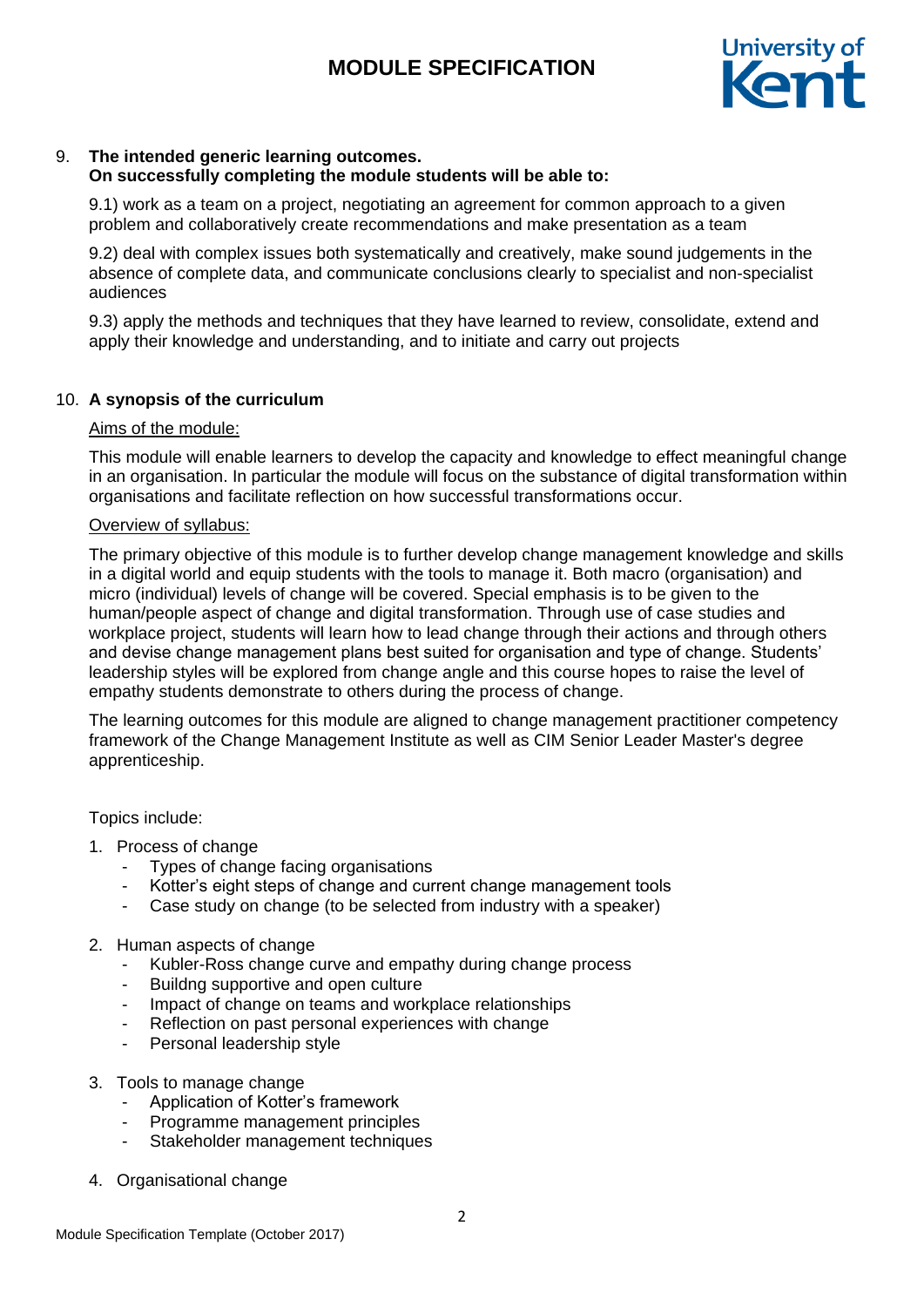

#### 9. **The intended generic learning outcomes. On successfully completing the module students will be able to:**

9.1) work as a team on a project, negotiating an agreement for common approach to a given problem and collaboratively create recommendations and make presentation as a team

9.2) deal with complex issues both systematically and creatively, make sound judgements in the absence of complete data, and communicate conclusions clearly to specialist and non-specialist audiences

9.3) apply the methods and techniques that they have learned to review, consolidate, extend and apply their knowledge and understanding, and to initiate and carry out projects

## 10. **A synopsis of the curriculum**

### Aims of the module:

This module will enable learners to develop the capacity and knowledge to effect meaningful change in an organisation. In particular the module will focus on the substance of digital transformation within organisations and facilitate reflection on how successful transformations occur.

### Overview of syllabus:

The primary objective of this module is to further develop change management knowledge and skills in a digital world and equip students with the tools to manage it. Both macro (organisation) and micro (individual) levels of change will be covered. Special emphasis is to be given to the human/people aspect of change and digital transformation. Through use of case studies and workplace project, students will learn how to lead change through their actions and through others and devise change management plans best suited for organisation and type of change. Students' leadership styles will be explored from change angle and this course hopes to raise the level of empathy students demonstrate to others during the process of change.

The learning outcomes for this module are aligned to change management practitioner competency framework of the Change Management Institute as well as CIM Senior Leader Master's degree apprenticeship.

Topics include:

- 1. Process of change
	- Types of change facing organisations
	- Kotter's eight steps of change and current change management tools
	- Case study on change (to be selected from industry with a speaker)

#### 2. Human aspects of change

- Kubler-Ross change curve and empathy during change process
- Buildng supportive and open culture
- Impact of change on teams and workplace relationships
- Reflection on past personal experiences with change
- Personal leadership style
- 3. Tools to manage change
	- Application of Kotter's framework
	- Programme management principles
	- Stakeholder management techniques
- 4. Organisational change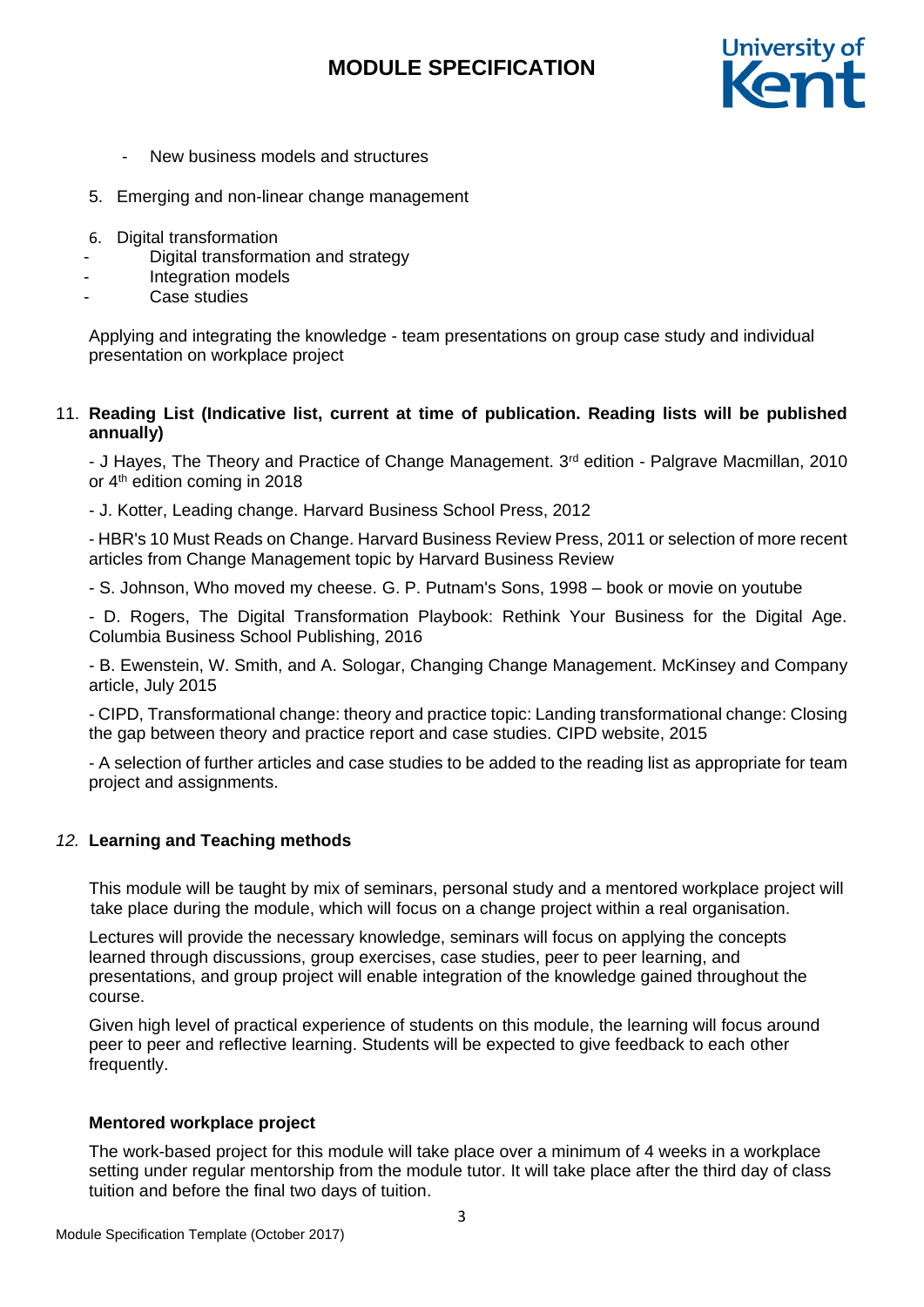

- New business models and structures
- 5. Emerging and non-linear change management
- 6. Digital transformation
- Digital transformation and strategy
- Integration models
- Case studies

Applying and integrating the knowledge - team presentations on group case study and individual presentation on workplace project

## 11. **Reading List (Indicative list, current at time of publication. Reading lists will be published annually)**

- J Hayes, The Theory and Practice of Change Management. 3<sup>rd</sup> edition - Palgrave Macmillan, 2010 or 4<sup>th</sup> edition coming in 2018

- J. Kotter, Leading change. Harvard Business School Press, 2012

- HBR's 10 Must Reads on Change. Harvard Business Review Press, 2011 or selection of more recent articles from Change Management topic by Harvard Business Review

- S. Johnson, Who moved my cheese. [G. P. Putnam's Sons,](https://www.google.co.uk/search?q=g.p.+putnam%27s+sons&stick=H4sIAAAAAAAAAOPgE-LUz9U3MMwxSslQ4gIxTQuzUlKStNQyyq30k_NzclKTSzLz8_TLizJLSlLz4svzi7KLrQpKk3IyizNSiwDYuTh2QQAAAA&sa=X&ved=0ahUKEwi-4-zoxtnJAhXDbhQKHW6-ADcQmxMIpAEoATAS) 1998 – book or movie on youtube

- D. Rogers, The Digital Transformation Playbook: Rethink Your Business for the Digital Age. Columbia Business School Publishing, 2016

- B. Ewenstein, W. Smith, and A. Sologar, Changing Change Management. McKinsey and Company article, July 2015

- CIPD, Transformational change: theory and practice topic: Landing transformational change: Closing the gap between theory and practice report and case studies. CIPD website, 2015

- A selection of further articles and case studies to be added to the reading list as appropriate for team project and assignments.

## *12.* **Learning and Teaching methods**

This module will be taught by mix of seminars, personal study and a mentored workplace project will take place during the module, which will focus on a change project within a real organisation.

Lectures will provide the necessary knowledge, seminars will focus on applying the concepts learned through discussions, group exercises, case studies, peer to peer learning, and presentations, and group project will enable integration of the knowledge gained throughout the course.

Given high level of practical experience of students on this module, the learning will focus around peer to peer and reflective learning. Students will be expected to give feedback to each other frequently.

#### **Mentored workplace project**

The work-based project for this module will take place over a minimum of 4 weeks in a workplace setting under regular mentorship from the module tutor. It will take place after the third day of class tuition and before the final two days of tuition.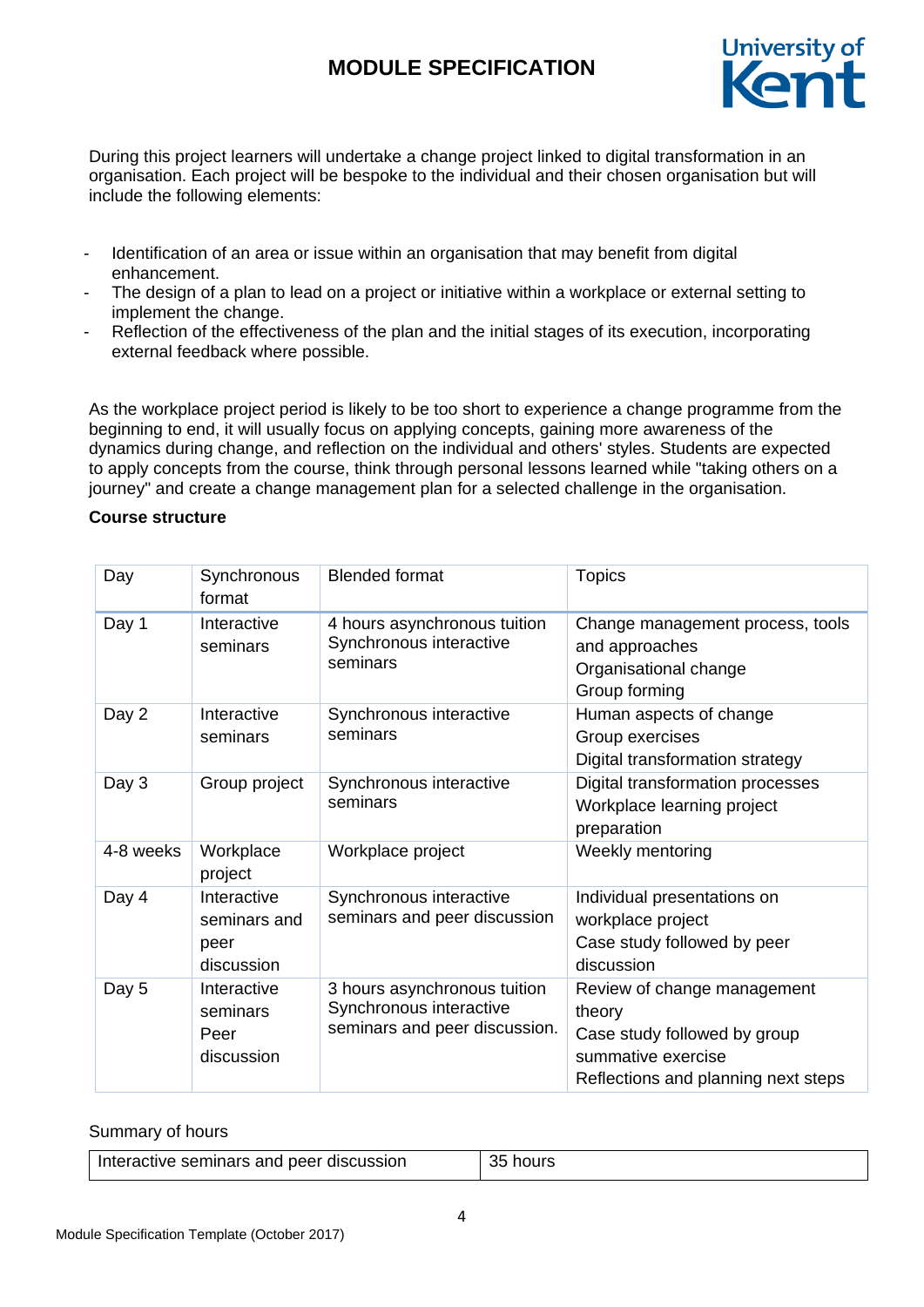

During this project learners will undertake a change project linked to digital transformation in an organisation. Each project will be bespoke to the individual and their chosen organisation but will include the following elements:

- Identification of an area or issue within an organisation that may benefit from digital enhancement.
- The design of a plan to lead on a project or initiative within a workplace or external setting to implement the change.
- Reflection of the effectiveness of the plan and the initial stages of its execution, incorporating external feedback where possible.

As the workplace project period is likely to be too short to experience a change programme from the beginning to end, it will usually focus on applying concepts, gaining more awareness of the dynamics during change, and reflection on the individual and others' styles. Students are expected to apply concepts from the course, think through personal lessons learned while "taking others on a journey" and create a change management plan for a selected challenge in the organisation.

#### **Course structure**

| Day       | Synchronous<br>format                             | <b>Blended format</b>                                                                    | <b>Topics</b>                                                                                                                      |
|-----------|---------------------------------------------------|------------------------------------------------------------------------------------------|------------------------------------------------------------------------------------------------------------------------------------|
| Day 1     | Interactive<br>seminars                           | 4 hours asynchronous tuition<br>Synchronous interactive<br>seminars                      | Change management process, tools<br>and approaches<br>Organisational change<br>Group forming                                       |
| Day 2     | Interactive<br>seminars                           | Synchronous interactive<br>seminars                                                      | Human aspects of change<br>Group exercises<br>Digital transformation strategy                                                      |
| Day 3     | Group project                                     | Synchronous interactive<br>seminars                                                      | Digital transformation processes<br>Workplace learning project<br>preparation                                                      |
| 4-8 weeks | Workplace<br>project                              | Workplace project                                                                        | Weekly mentoring                                                                                                                   |
| Day 4     | Interactive<br>seminars and<br>peer<br>discussion | Synchronous interactive<br>seminars and peer discussion                                  | Individual presentations on<br>workplace project<br>Case study followed by peer<br>discussion                                      |
| Day 5     | Interactive<br>seminars<br>Peer<br>discussion     | 3 hours asynchronous tuition<br>Synchronous interactive<br>seminars and peer discussion. | Review of change management<br>theory<br>Case study followed by group<br>summative exercise<br>Reflections and planning next steps |

#### Summary of hours

| Interactive seminars and peer discussion | 35 hours |
|------------------------------------------|----------|
|------------------------------------------|----------|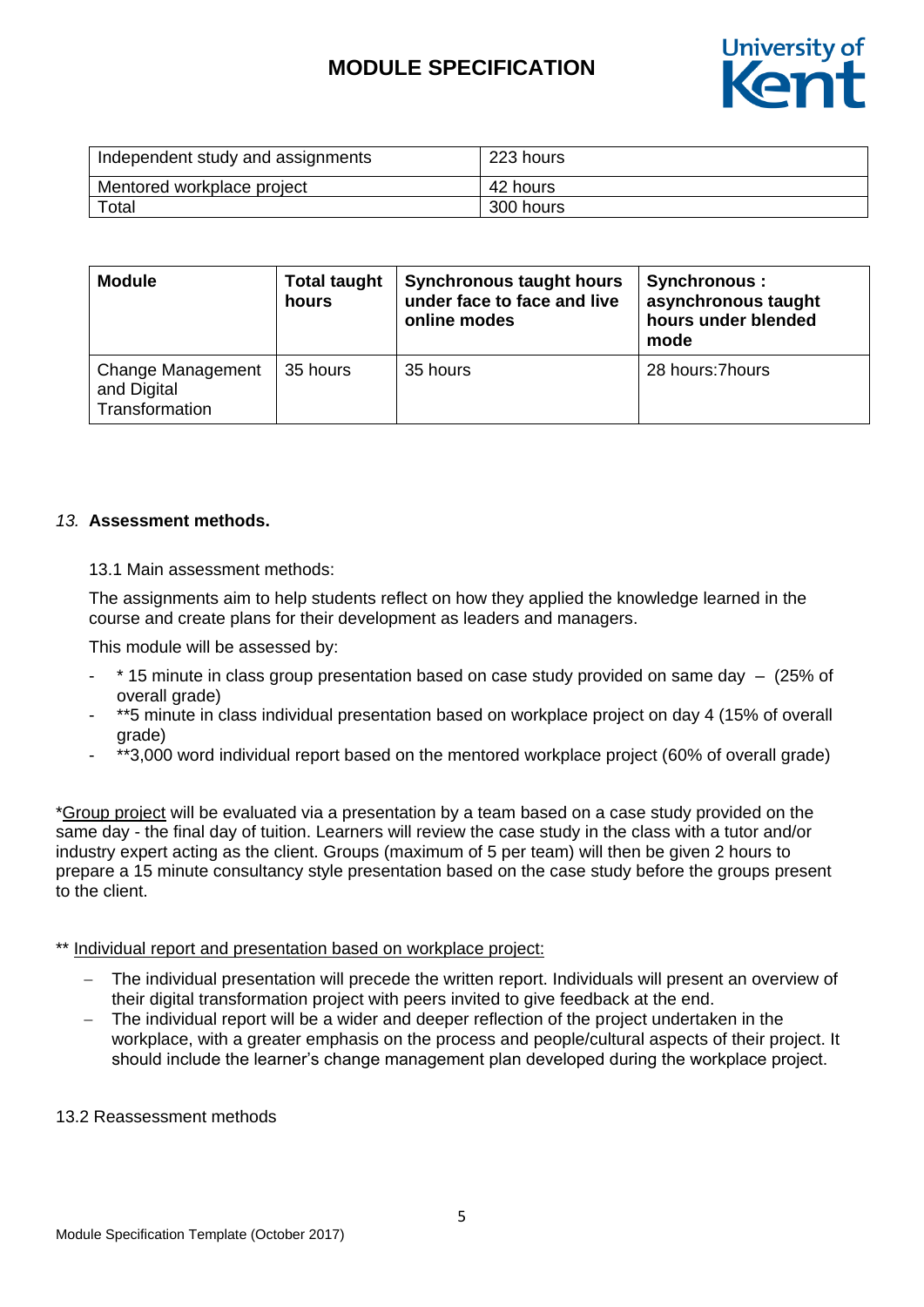

| Independent study and assignments | 223 hours |
|-----------------------------------|-----------|
| Mentored workplace project        | 42 hours  |
| Total                             | 300 hours |

| <b>Module</b>                                             | <b>Total taught</b><br>hours | <b>Synchronous taught hours</b><br>under face to face and live<br>online modes | Synchronous :<br>asynchronous taught<br>hours under blended<br>mode |
|-----------------------------------------------------------|------------------------------|--------------------------------------------------------------------------------|---------------------------------------------------------------------|
| <b>Change Management</b><br>and Digital<br>Transformation | 35 hours                     | 35 hours                                                                       | 28 hours: 7 hours                                                   |

### *13.* **Assessment methods.**

### 13.1 Main assessment methods:

The assignments aim to help students reflect on how they applied the knowledge learned in the course and create plans for their development as leaders and managers.

This module will be assessed by:

- $*$  15 minute in class group presentation based on case study provided on same day  $-$  (25% of overall grade)
- \*\*5 minute in class individual presentation based on workplace project on day 4 (15% of overall grade)
- \*\*3,000 word individual report based on the mentored workplace project (60% of overall grade)

\*Group project will be evaluated via a presentation by a team based on a case study provided on the same day - the final day of tuition. Learners will review the case study in the class with a tutor and/or industry expert acting as the client. Groups (maximum of 5 per team) will then be given 2 hours to prepare a 15 minute consultancy style presentation based on the case study before the groups present to the client.

#### \*\* Individual report and presentation based on workplace project:

- The individual presentation will precede the written report. Individuals will present an overview of their digital transformation project with peers invited to give feedback at the end.
- The individual report will be a wider and deeper reflection of the project undertaken in the workplace, with a greater emphasis on the process and people/cultural aspects of their project. It should include the learner's change management plan developed during the workplace project.

#### 13.2 Reassessment methods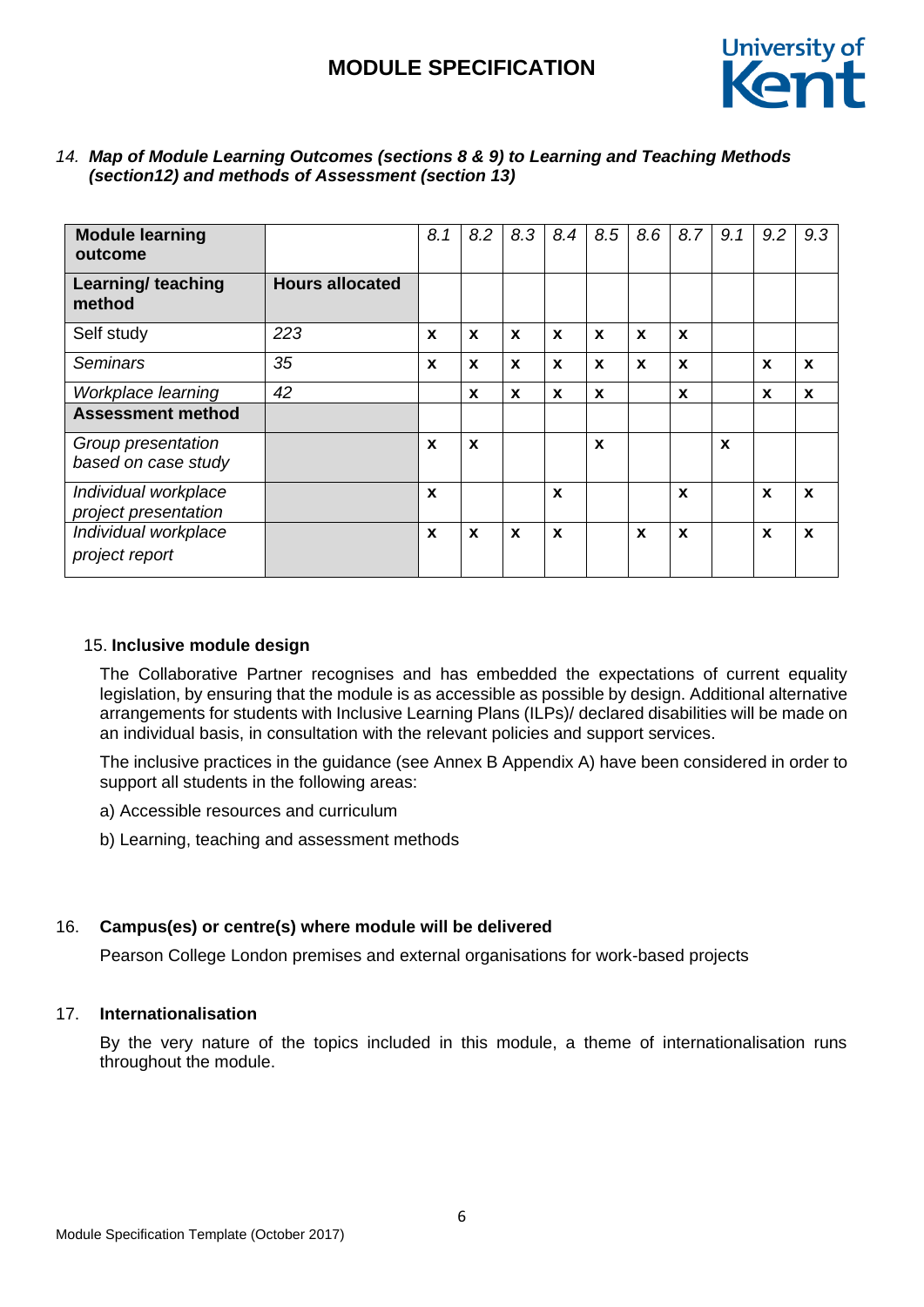

| <b>Module learning</b><br>outcome              |                        | 8.1 | 8.2         | 8.3              | 8.4         | 8.5 | 8.6              | 8.7          | 9.1         | 9.2                       | 9.3          |
|------------------------------------------------|------------------------|-----|-------------|------------------|-------------|-----|------------------|--------------|-------------|---------------------------|--------------|
| <b>Learning/ teaching</b><br>method            | <b>Hours allocated</b> |     |             |                  |             |     |                  |              |             |                           |              |
| Self study                                     | 223                    | X   | $\mathbf x$ | $\mathbf{x}$     | $\mathbf x$ | X   | $\boldsymbol{x}$ | $\mathbf x$  |             |                           |              |
| <b>Seminars</b>                                | 35                     | X   | $\mathbf x$ | $\mathbf x$      | $\mathbf x$ | X   | X                | $\mathbf{x}$ |             | X                         | $\mathbf{x}$ |
| Workplace learning<br><b>Assessment method</b> | 42                     |     | X           | X                | X           | X   |                  | X            |             | X                         | $\mathbf{x}$ |
| Group presentation<br>based on case study      |                        | X   | $\mathbf x$ |                  |             | X   |                  |              | $\mathbf x$ |                           |              |
| Individual workplace<br>project presentation   |                        | X   |             |                  | X           |     |                  | $\mathbf x$  |             | $\boldsymbol{\mathsf{x}}$ | $\mathbf{x}$ |
| Individual workplace<br>project report         |                        | X   | $\mathbf x$ | $\boldsymbol{x}$ | $\mathbf x$ |     | X                | $\mathbf{x}$ |             | X                         | $\mathbf{x}$ |

### *14. Map of Module Learning Outcomes (sections 8 & 9) to Learning and Teaching Methods (section12) and methods of Assessment (section 13)*

## 15. **Inclusive module design**

The Collaborative Partner recognises and has embedded the expectations of current equality legislation, by ensuring that the module is as accessible as possible by design. Additional alternative arrangements for students with Inclusive Learning Plans (ILPs)/ declared disabilities will be made on an individual basis, in consultation with the relevant policies and support services.

The inclusive practices in the guidance (see Annex B Appendix A) have been considered in order to support all students in the following areas:

a) Accessible resources and curriculum

b) Learning, teaching and assessment methods

## 16. **Campus(es) or centre(s) where module will be delivered**

Pearson College London premises and external organisations for work-based projects

# 17. **Internationalisation**

By the very nature of the topics included in this module, a theme of internationalisation runs throughout the module.